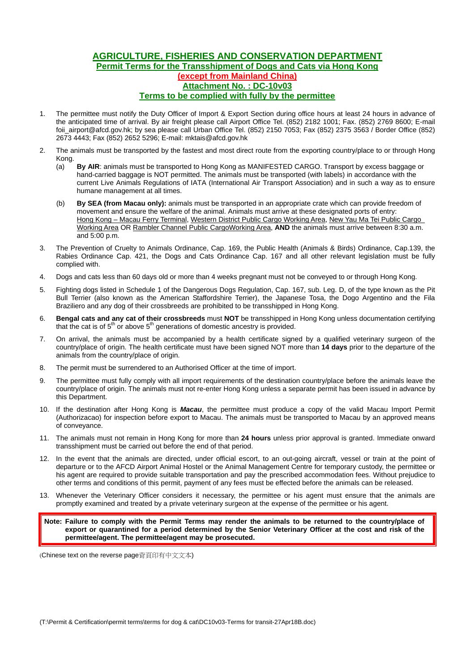## **AGRICULTURE, FISHERIES AND CONSERVATION DEPARTMENT Permit Terms for the Transshipment of Dogs and Cats via Hong Kong (except from Mainland China) Attachment No. : DC-10v03 Terms to be complied with fully by the permittee**

- 1. The permittee must notify the Duty Officer of Import & Export Section during office hours at least 24 hours in advance of the anticipated time of arrival. By air freight please call Airport Office Tel. (852) 2182 1001; Fax. (852) 2769 8600; E-mail foii airport@afcd.gov.hk; by sea please call Urban Office Tel. (852) 2150 7053; Fax (852) 2375 3563 / Border Office (852) 2673 4443; Fax (852) 2652 5296; E-mail: mktais@afcd.gov.hk
- 2. The animals must be transported by the fastest and most direct route from the exporting country/place to or through Hong Kong.
	- (a) **By AIR**: animals must be transported to Hong Kong as MANIFESTED CARGO. Transport by excess baggage or hand-carried baggage is NOT permitted. The animals must be transported (with labels) in accordance with the current Live Animals Regulations of IATA (International Air Transport Association) and in such a way as to ensure humane management at all times.
	- (b) **By SEA (from Macau only):** animals must be transported in an appropriate crate which can provide freedom of movement and ensure the welfare of the animal. Animals must arrive at these designated ports of entry: Hong Kong – Macau Ferry Terminal, Western District Public Cargo Working Area, New Yau Ma Tei Public Cargo Working Area OR Rambler Channel Public CargoWorking Area, **AND** the animals must arrive between 8:30 a.m. and 5:00 p.m.
- 3. The Prevention of Cruelty to Animals Ordinance, Cap. 169, the Public Health (Animals & Birds) Ordinance, Cap.139, the Rabies Ordinance Cap. 421, the Dogs and Cats Ordinance Cap. 167 and all other relevant legislation must be fully complied with.
- 4. Dogs and cats less than 60 days old or more than 4 weeks pregnant must not be conveyed to or through Hong Kong.
- 5. Fighting dogs listed in Schedule 1 of the Dangerous Dogs Regulation, Cap. 167, sub. Leg. D, of the type known as the Pit Bull Terrier (also known as the American Staffordshire Terrier), the Japanese Tosa, the Dogo Argentino and the Fila Braziliero and any dog of their crossbreeds are prohibited to be transshipped in Hong Kong.
- 6. **Bengal cats and any cat of their crossbreeds** must **NOT** be transshipped in Hong Kong unless documentation certifying that the cat is of  $5<sup>th</sup>$  or above  $5<sup>th</sup>$  generations of domestic ancestry is provided.
- 7. On arrival, the animals must be accompanied by a health certificate signed by a qualified veterinary surgeon of the country/place of origin. The health certificate must have been signed NOT more than **14 days** prior to the departure of the animals from the country/place of origin.
- 8. The permit must be surrendered to an Authorised Officer at the time of import.
- 9. The permittee must fully comply with all import requirements of the destination country/place before the animals leave the country/place of origin. The animals must not re-enter Hong Kong unless a separate permit has been issued in advance by this Department.
- 10. If the destination after Hong Kong is *Macau*, the permittee must produce a copy of the valid Macau Import Permit (Authorizacao) for inspection before export to Macau. The animals must be transported to Macau by an approved means of conveyance.
- 11. The animals must not remain in Hong Kong for more than **24 hours** unless prior approval is granted. Immediate onward transshipment must be carried out before the end of that period.
- 12. In the event that the animals are directed, under official escort, to an out-going aircraft, vessel or train at the point of departure or to the AFCD Airport Animal Hostel or the Animal Management Centre for temporary custody, the permittee or his agent are required to provide suitable transportation and pay the prescribed accommodation fees. Without prejudice to other terms and conditions of this permit, payment of any fees must be effected before the animals can be released.
- 13. Whenever the Veterinary Officer considers it necessary, the permittee or his agent must ensure that the animals are promptly examined and treated by a private veterinary surgeon at the expense of the permittee or his agent.

**Note: Failure to comply with the Permit Terms may render the animals to be returned to the country/place of export or quarantined for a period determined by the Senior Veterinary Officer at the cost and risk of the permittee/agent. The permittee/agent may be prosecuted.** 

(Chinese text on the reverse page背頁印有中文文本)